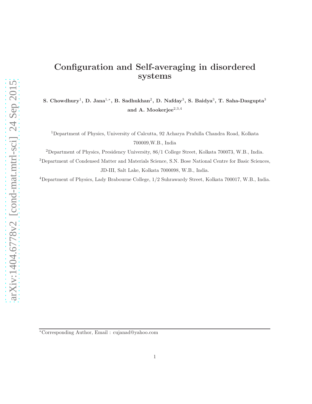# Configuration and Self-averaging in disordered systems

S. Chowdhury<sup>1</sup>, D. Jana<sup>1,\*</sup>, B. Sadhukhan<sup>2</sup>, D. Nafday<sup>3</sup>, S. Baidya<sup>3</sup>, T. Saha-Dasgupta<sup>3</sup> and A. Mookerjee $^{2,3,4}$ 

<sup>1</sup>Department of Physics, University of Calcutta, 92 Acharya Prafulla Chandra Road, Kolkata 700009,W.B., India

<sup>2</sup>Department of Physics, Presidency University, 86/1 College Street, Kolkata 700073, W.B., India.

<sup>3</sup>Department of Condensed Matter and Materials Science, S.N. Bose National Centre for Basic Sciences, JD-III, Salt Lake, Kolkata 7000098, W.B., India.

<sup>4</sup>Department of Physics, Lady Brabourne College, 1/2 Suhrawardy Street, Kolkata 700017, W.B., India.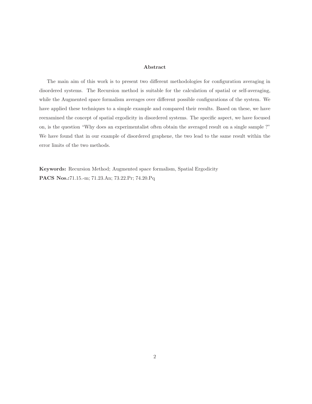#### Abstract

The main aim of this work is to present two different methodologies for configuration averaging in disordered systems. The Recursion method is suitable for the calculation of spatial or self-averaging, while the Augmented space formalism averages over different possible configurations of the system. We have applied these techniques to a simple example and compared their results. Based on these, we have reexamined the concept of spatial ergodicity in disordered systems. The specific aspect, we have focused on, is the question "Why does an experimentalist often obtain the averaged result on a single sample ?" We have found that in our example of disordered graphene, the two lead to the same result within the error limits of the two methods.

Keywords: Recursion Method; Augmented space formalism, Spatial Ergodicity PACS Nos.:71.15.-m; 71.23.An; 73.22.Pr; 74.20.Pq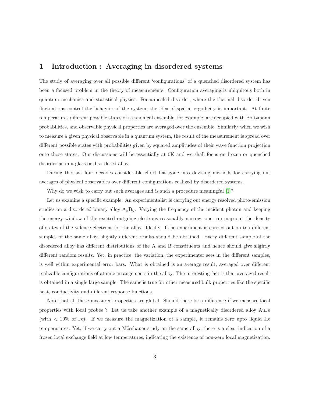#### 1 Introduction : Averaging in disordered systems

The study of averaging over all possible different 'configurations' of a quenched disordered system has been a focused problem in the theory of measurements. Configuration averaging is ubiquitous both in quantum mechanics and statistical physics. For annealed disorder, where the thermal disorder driven fluctuations control the behavior of the system, the idea of spatial ergodicity is important. At finite temperatures different possible states of a canonical ensemble, for example, are occupied with Boltzmann probabilities, and observable physical properties are averaged over the ensemble. Similarly, when we wish to measure a given physical observable in a quantum system, the result of the measurement is spread over different possible states with probabilities given by squared amplitudes of their wave function projection onto those states. Our discussions will be essentially at 0K and we shall focus on frozen or quenched disorder as in a glass or disordered alloy.

During the last four decades considerable effort has gone into devising methods for carrying out averages of physical observables over different configurations realized by disordered systems.

Why do we wish to carry out such averages and is such a procedure meaningful [\[1\]](#page-14-0)?

Let us examine a specific example. An experimentalist is carrying out energy resolved photo-emission studies on a disordered binary alloy  $A_xB_y$ . Varying the frequency of the incident photon and keeping the energy window of the excited outgoing electrons reasonably narrow, one can map out the density of states of the valence electrons for the alloy. Ideally, if the experiment is carried out on ten different samples of the same alloy, slightly different results should be obtained. Every different sample of the disordered alloy has different distributions of the A and B constituents and hence should give slightly different random results. Yet, in practice, the variation, the experimenter sees in the different samples, is well within experimental error bars. What is obtained is an average result, averaged over different realizable configurations of atomic arrangements in the alloy. The interesting fact is that averaged result is obtained in a single large sample. The same is true for other measured bulk properties like the specific heat, conductivity and different response functions.

Note that all these measured properties are global. Should there be a difference if we measure local properties with local probes ? Let us take another example of a magnetically disordered alloy AuFe (with  $\langle 10\% \rangle$  of Fe). If we measure the magnetization of a sample, it remains zero upto liquid He temperatures. Yet, if we carry out a Mössbauer study on the same alloy, there is a clear indication of a frozen local exchange field at low temperatures, indicating the existence of non-zero local magnetization.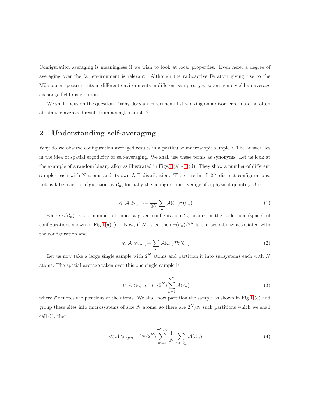Configuration averaging is meaningless if we wish to look at local properties. Even here, a degree of averaging over the far environment is relevant. Although the radioactive Fe atom giving rise to the Mössbauer spectrum sits in different environments in different samples, yet experiments yield an average exchange field distribution.

We shall focus on the question, "Why does an experimentalist working on a disordered material often obtain the averaged result from a single sample ?"

## 2 Understanding self-averaging

Why do we observe configuration averaged results in a particular macroscopic sample ? The answer lies in the idea of spatial ergodicity or self-averaging. We shall use these terms as synonyms. Let us look at the example of a random binary alloy as illustrated in Figs[.1](#page-17-0)(a) - [1](#page-17-0) (d). They show a number of different samples each with N atoms and its own A-B distribution. There are in all  $2^N$  distinct configurations. Let us label each configuration by  $\mathcal{C}_n$ , formally the configuration average of a physical quantity  $\mathcal A$  is

$$
\ll \mathcal{A} \gg_{conf} = \frac{1}{2^N} \sum_{n} \mathcal{A}(\mathcal{C}_n) \gamma(\mathcal{C}_n)
$$
\n(1)

where  $\gamma(\mathcal{C}_n)$  is the number of times a given configuration  $\mathcal{C}_n$  occurs in the collection (space) of configurations shown in Fig[.1\(](#page-17-0)a)-(d). Now, if  $N \to \infty$  then  $\gamma(C_n)/2^N$  is the probability associated with the configuration and

$$
\ll \mathcal{A} \gg_{conf} = \sum_{n} \mathcal{A}(\mathcal{C}_n) \mathcal{P}r(\mathcal{C}_n)
$$
\n(2)

Let us now take a large single sample with  $2^N$  atoms and partition it into subsystems each with N atoms. The spatial average taken over this one single sample is :

$$
\ll \mathcal{A} \gg_{spat} = (1/2^N) \sum_{n=1}^{2^N} \mathcal{A}(\vec{r}_n)
$$
\n(3)

where  $\vec{r}$  denotes the positions of the atoms. We shall now partition the sample as shown in Fig[.1](#page-17-0) (e) and group these sites into microsystems of size N atoms, so there are  $2^N/N$  such partitions which we shall call  $\mathcal{C}'_n$ , then

$$
\ll \mathcal{A} \gg_{spat} = (N/2^N) \sum_{m=1}^{2^N/N} \frac{1}{N} \sum_{m \in \mathcal{C}'_m} \mathcal{A}(\vec{r}_m)
$$
\n(4)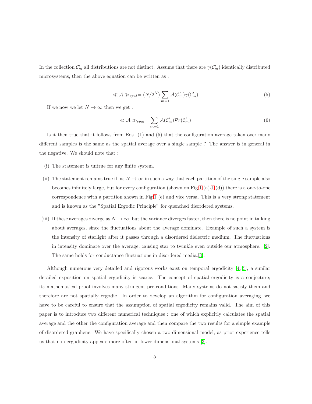In the collection  $\mathcal{C}'_m$  all distributions are not distinct. Assume that there are  $\gamma(\mathcal{C}'_m)$  identically distributed microsystems, then the above equation can be written as :

$$
\ll \mathcal{A} \gg_{spat} = (N/2^N) \sum_{m=1} \mathcal{A}(\mathcal{C}'_m) \gamma(\mathcal{C}'_m)
$$
\n<sup>(5)</sup>

If we now we let  $N \to \infty$  then we get :

$$
\ll \mathcal{A} \gg_{spat} = \sum_{m=1} \mathcal{A}(\mathcal{C}'_m) \mathcal{P}r(\mathcal{C}'_m)
$$
\n(6)

Is it then true that it follows from Eqs. (1) and (5) that the configuration average taken over many different samples is the same as the spatial average over a single sample ? The answer is in general in the negative. We should note that :

- (i) The statement is untrue for any finite system.
- (ii) The statement remains true if, as  $N \to \infty$  in such a way that each partition of the single sample also becomes infinitely large, but for every configuration (shown on Fig[.1](#page-17-0) (a)[-1](#page-17-0) (d)) there is a one-to-one correspondence with a partition shown in Fig[.1](#page-17-0) (e) and vice versa. This is a very strong statement and is known as the "Spatial Ergodic Principle" for quenched disordered systems.
- (iii) If these averages diverge as  $N \to \infty$ , but the variance diverges faster, then there is no point in talking about averages, since the fluctuations about the average dominate. Example of such a system is the intensity of starlight after it passes through a disordered dielectric medium. The fluctuations in intensity dominate over the average, causing star to twinkle even outside our atmosphere. [\[2\]](#page-14-1). The same holds for conductance fluctuations in disordered media.[\[3\]](#page-14-2).

Although numerous very detailed and rigorous works exist on temporal ergodicity [\[4,](#page-14-3) [5\]](#page-14-4), a similar detailed exposition on spatial ergodicity is scarce. The concept of spatial ergodicity is a conjecture; its mathematical proof involves many stringent pre-conditions. Many systems do not satisfy them and therefore are not spatially ergodic. In order to develop an algorithm for configuration averaging, we have to be careful to ensure that the assumption of spatial ergodicity remains valid. The aim of this paper is to introduce two different numerical techniques : one of which explicitly calculates the spatial average and the other the configuration average and then compare the two results for a simple example of disordered graphene. We have specifically chosen a two-dimensional model, as prior experience tells us that non-ergodicity appears more often in lower dimensional systems [\[3\]](#page-14-2).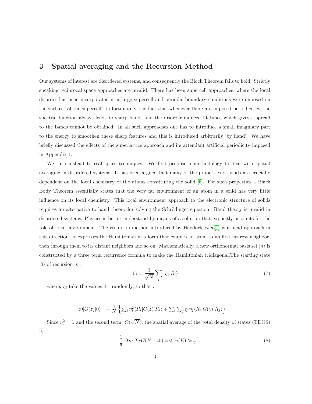#### 3 Spatial averaging and the Recursion Method

Our systems of interest are disordered systems, and consequently the Bloch Theorem fails to hold. Strictly speaking reciprocal space approaches are invalid. There has been supercell approaches, where the local disorder has been incorporated in a large supercell and periodic boundary conditions were imposed on the surfaces of the supercell. Unfortunately, the fact that whenever there are imposed periodicities, the spectral function always leads to sharp bands and the disorder induced lifetimes which gives a spread to the bands cannot be obtained. In all such approaches one has to introduce a small imaginary part to the energy to smoothen these sharp features and this is introduced arbitrarily 'by hand'. We have briefly discussed the effects of the superlattice approach and its attendant artificial periodicity imposed in Appendix 1.

We turn instead to real space techniques. We first propose a methodology to deal with spatial averaging in disordered systems. It has been argued that many of the properties of solids are crucially dependent on the local chemistry of the atoms constituting the solid [\[6\]](#page-14-5). For such properties a Black Body Theorem essentially states that the very far environment of an atom in a solid has very little influence on its local chemistry. This local environment approach to the electronic structure of solids requires an alternative to band theory for solving the Schrödinger equation. Band theory is invalid in disordered systems. Physics is better understood by means of a solution that explicitly accounts for the role of local environment. The recursion method introduced by Haydock *et al*[\[7\]](#page-14-6) is a lucid approach in this direction. It expresses the Hamiltonian in a form that couples an atom to its first nearest neighbor, then through them to its distant neighbors and so on. Mathematically, a new orthonormal basis set  $|n\rangle$  is constructed by a three term recurrence formula to make the Hamiltonian tridiagonal.The starting state  $|0\rangle$  of recursion is :

$$
|0\rangle = \frac{1}{\sqrt{N}} \sum_{i} \eta_i |R_i\rangle \tag{7}
$$

where,  $\eta_i$  take the values  $\pm 1$  randomly, so that :

$$
\langle 0|G(z)|0\rangle = \frac{1}{N} \left\{ \sum_{i} \eta_i^2 \langle R_i|G(z)|R_i\rangle + \sum_{i} \sum_{j} \eta_i \eta_j \langle R_i|G(z)|R_j\rangle \right\}
$$

Since  $\eta_i^2 = 1$  and the second term  $O(\sqrt{N})$ , the spatial average of the total density of states (TDOS) is :

$$
-\frac{1}{\pi}\ \Im m\ Tr G(E+i0) = \ll n(E) \gg_{\rm sp} \tag{8}
$$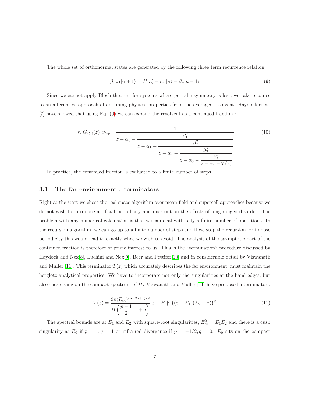The whole set of orthonormal states are generated by the following three term recurrence relation:

<span id="page-6-0"></span>
$$
\beta_{n+1}|n+1\rangle = H|n\rangle - \alpha_n|n\rangle - \beta_n|n-1\rangle \tag{9}
$$

Since we cannot apply Bloch theorem for systems where periodic symmetry is lost, we take recourse to an alternative approach of obtaining physical properties from the averaged resolvent. Haydock et al. [\[7\]](#page-14-6) have showed that using Eq. [\(9\)](#page-6-0) we can expand the resolvent as a continued fraction :

$$
\ll G_{RR}(z) \gg_{\rm sp} = \frac{1}{z - \alpha_0 - \frac{\beta_1^2}{z - \alpha_1 - \frac{\beta_2^2}{z - \alpha_2 - \frac{\beta_3^2}{z - \alpha_3 - \frac{\beta_4^2}{z - \alpha_4 - T(z)}}}}}
$$
(10)

In practice, the continued fraction is evaluated to a finite number of steps.

#### 3.1 The far environment : terminators

Right at the start we chose the real space algorithm over mean-field and supercell approaches because we do not wish to introduce artificial periodicity and miss out on the effects of long-ranged disorder. The problem with any numerical calculation is that we can deal with only a finite number of operations. In the recursion algorithm, we can go up to a finite number of steps and if we stop the recursion, or impose periodicity this would lead to exactly what we wish to avoid. The analysis of the asymptotic part of the continued fraction is therefore of prime interest to us. This is the "termination" procedure discussed by Haydock and Nex[\[8\]](#page-14-7), Luchini and Nex[\[9\]](#page-14-8), Beer and Pettifor[\[10\]](#page-14-9) and in considerable detail by Viswanath and Muller [\[11\]](#page-14-10). This terminator  $T(z)$  which accurately describes the far environment, must maintain the herglotz analytical properties. We have to incorporate not only the singularities at the band edges, but also those lying on the compact spectrum of  $H$ . Viswanath and Muller [\[11\]](#page-14-10) have proposed a terminator :

$$
T(z) = \frac{2\pi (E_m)^{(p+2q+1)/2}}{B\left(\frac{p+1}{2}, 1+q\right)} |z - E_0|^p \left\{ (z - E_1)(E_2 - z) \right\}^q
$$
\n(11)

The spectral bounds are at  $E_1$  and  $E_2$  with square-root singularities,  $E_m^2 = E_1 E_2$  and there is a cusp singularity at  $E_0$  if  $p = 1, q = 1$  or infra-red divergence if  $p = -1/2, q = 0$ .  $E_0$  sits on the compact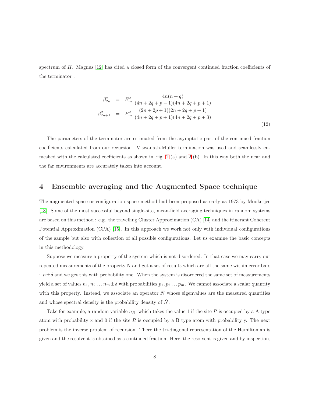spectrum of H. Magnus [\[12\]](#page-15-0) has cited a closed form of the convergent continued fraction coefficients of the terminator :

$$
\beta_{2n}^2 = E_m^2 \frac{4n(n+q)}{(4n+2q+p-1)(4n+2q+p+1)}
$$
\n
$$
\beta_{2n+1}^2 = E_m^2 \frac{(2n+2p+1)(2n+2q+p+1)}{(4n+2q+p+1)(4n+2q+p+3)}
$$
\n(12)

The parameters of the terminator are estimated from the asymptotic part of the continued fraction coefficients calculated from our recursion. Viswanath-Müller termination was used and seamlessly enmeshed with the calculated coefficients as shown in Fig. [2](#page-18-0) (a) and [2](#page-18-0) (b). In this way both the near and the far environments are accurately taken into account.

#### 4 Ensemble averaging and the Augmented Space technique

The augmented space or configuration space method had been proposed as early as 1973 by Mookerjee [\[13\]](#page-15-1). Some of the most successful beyond single-site, mean-field averaging techniques in random systems are based on this method : e.g. the travelling Cluster Approximation (CA) [\[14\]](#page-15-2) and the itinerant Coherent Potential Approximation (CPA) [\[15\]](#page-15-3). In this approach we work not only with individual configurations of the sample but also with collection of all possible configurations. Let us examine the basic concepts in this methodology.

Suppose we measure a property of the system which is not disordered. In that case we may carry out repeated measurements of the property N and get a set of results which are all the same within error bars :  $n \pm \delta$  and we get this with probability one. When the system is disordered the same set of measurements yield a set of values  $n_1, n_2 \ldots n_m \pm \delta$  with probabilities  $p_1, p_2 \ldots p_m$ . We cannot associate a scalar quantity with this property. Instead, we associate an operator  $\tilde{N}$  whose eigenvalues are the measured quantities and whose spectral density is the probability density of  $\tilde{N}$ .

Take for example, a random variable  $n_R$ , which takes the value 1 if the site R is occupied by a A type atom with probability x and 0 if the site  $R$  is occupied by a B type atom with probability y. The next problem is the inverse problem of recursion. There the tri-diagonal representation of the Hamiltonian is given and the resolvent is obtained as a continued fraction. Here, the resolvent is given and by inspection,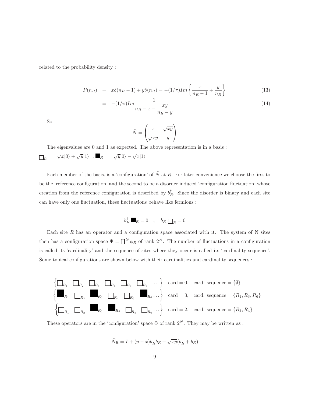related to the probability density :

$$
P(n_R) = x\delta(n_R - 1) + y\delta(n_R) = -(1/\pi)Im\left\{\frac{x}{n_R - 1} + \frac{y}{n_R}\right\}
$$
(13)

$$
= -(1/\pi)Im \frac{1}{n_R - x - \frac{xy}{n_R - y}}
$$
(14)

So

$$
\tilde{N} = \begin{pmatrix} x & \sqrt{xy} \\ \sqrt{xy} & y \end{pmatrix}
$$

The eigenvalues are 0 and 1 as expected. The above representation is in a basis :  $\mathcal{L}_R = \sqrt{x} |0\rangle + \sqrt{y} |1\rangle; \blacksquare_R = \sqrt{y} |0\rangle - \sqrt{x} |1\rangle$ 

Each member of the basis, is a 'configuration' of  $\tilde{N}$  at R. For later convenience we choose the first to be the 'reference configuration' and the second to be a disorder induced 'configuration fluctuation' whose creation from the reference configuration is described by  $b_R^{\dagger}$ . Since the disorder is binary and each site can have only one fluctuation, these fluctuations behave like fermions :

$$
b_R^{\dagger} \blacksquare_R = 0 \quad ; \quad b_R \square_R = 0
$$

Each site  $R$  has an operator and a configuration space associated with it. The system of  $N$  sites then has a configuration space  $\Phi = \prod^{\otimes} \phi_R$  of rank  $2^N$ . The number of fluctuations in a configuration is called its 'cardinality' and the sequence of sites where they occur is called its 'cardinality sequence'. Some typical configurations are shown below with their cardinalities and cardinality sequences :



These operators are in the 'configuration' space  $\Phi$  of rank  $2^N$ . They may be written as :

$$
\tilde{N}_R = I + (y - x)b_R^{\dagger}b_R + \sqrt{xy}(b_R^{\dagger} + b_R)
$$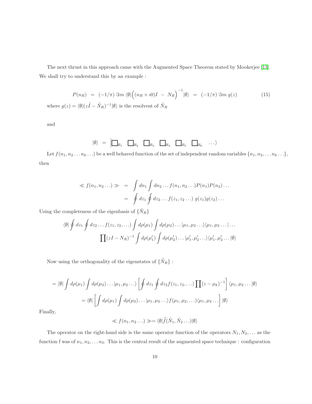The next thrust in this approach came with the Augmented Space Theorem stated by Mookerjee [\[13\]](#page-15-1). We shall try to understand this by an example :

$$
P(n_R) = (-1/\pi) \mathfrak{S}m \langle \emptyset | \Big( (n_R + i0)I - N_R \Big)^{-1} | \emptyset \rangle = (-1/\pi) \mathfrak{S}m g(z) \tag{15}
$$

where  $g(z) = \langle \emptyset | (z\tilde{I} - \tilde{N}_R)^{-1} | \emptyset \rangle$  is the resolvent of  $\tilde{N}_R$ 

and

$$
|0\rangle = \begin{array}{ccc}\n\boxed{\phantom{0}}_{R_1} & \boxed{\phantom{0}}_{R_2} & \boxed{\phantom{0}}_{R_3} & \boxed{\phantom{0}}_{R_4} & \boxed{\phantom{0}}_{R_5} & \boxed{\phantom{0}}_{R_6} & \cdots\n\end{array}
$$

Let  $f(n_1, n_2 \ldots n_k \ldots)$  be a well behaved function of the set of independent random variables  $\{n_1, n_2, \ldots n_k \ldots\}$ , then

$$
\ll f(n_1, n_2 \dots) \gg \quad = \quad \int dn_1 \int dn_2 \dots f(n_1, n_2 \dots) P(n_1) P(n_2) \dots
$$
\n
$$
= \quad \oint dz_1 \oint dz_2 \dots f(z_1, z_2 \dots) \ g(z_1) g(z_2) \dots
$$

Using the completeness of the eigenbasis of  $\{\tilde{N}_R\}$ 

$$
\langle \emptyset | \oint dz_1 \oint dz_2 \dots f(z_1, z_2, \dots) \int d\rho(\mu_1) \int d\rho(\mu_2) \dots |\mu_1, \mu_2 \dots \rangle \langle \mu_1, \mu_2 \dots | \dots
$$

$$
\prod (zI - N_R)^{-1} \int d\rho(\mu_1') \int d\rho(\mu_2') \dots |\mu_1', \mu_2' \dots \rangle \langle \mu_1', \mu_2' \dots | \emptyset \rangle
$$

Now using the orthogonality of the eigenstates of  $\{\tilde{N}_R\}$  :

$$
= \langle \emptyset | \int d\rho(\mu_1) \int d\rho(\mu_2) \dots | \mu_1, \mu_2 \dots \rangle \left[ \oint dz_1 \oint dz_2 f(z_1, z_2, \dots) \prod (z - \mu_k)^{-1} \right] \langle \mu_1, \mu_2 \dots | \emptyset \rangle
$$
  

$$
= \langle \emptyset | \left[ \int d\rho(\mu_1) \int d\rho(\mu_2) \dots | \mu_1, \mu_2 \dots \rangle f(\mu_1, \mu_2, \dots) \langle \mu_1, \mu_2 \dots \rangle \right] | \emptyset \rangle
$$

Finally,

$$
\ll f(n_1, n_2 \dots) \gg = \langle \emptyset | \widetilde{f}(\widetilde{N}_1, \widetilde{N}_2 \dots) | \emptyset \rangle
$$

The operator on the right-hand side is the same operator function of the operators  $N_1, N_2, \ldots$  as the function f was of  $n_1, n_2, \ldots n_3$ . This is the central result of the augmented space technique : configuration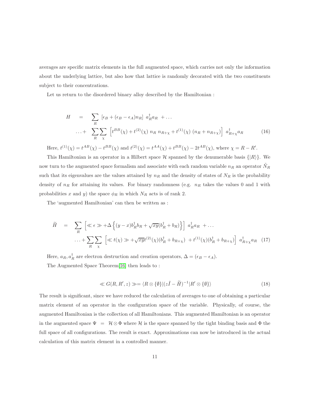averages are specific matrix elements in the full augmented space, which carries not only the information about the underlying lattice, but also how that lattice is randomly decorated with the two constituents subject to their concentrations.

Let us return to the disordered binary alloy described by the Hamiltonian :

$$
H = \sum_{R} [\epsilon_B + (\epsilon_B - \epsilon_A) n_R] a_R^{\dagger} a_R + ...
$$
  
...+ 
$$
\sum_{R} \sum_{\chi} [t^{BB}(\chi) + t^{(2)}(\chi) n_R n_{R+\chi} + t^{(1)}(\chi) (n_R + n_{R+\chi})] a_{R+\chi}^{\dagger} a_R
$$
 (16)

Here,  $t^{(1)}(\chi) = t^{AB}(\chi) - t^{BB}(\chi)$  and  $t^{(2)}(\chi) = t^{AA}(\chi) + t^{BB}(\chi) - 2t^{AB}(\chi)$ , where  $\chi = R - R'$ .

This Hamiltonian is an operator in a Hilbert space  $\mathcal H$  spanned by the denumerable basis  $\{|R\rangle\}$ . We now turn to the augmented space formalism and associate with each random variable  $n_R$  an operator  $N_R$ such that its eigenvalues are the values attained by  $n_R$  and the density of states of  $N_R$  is the probability density of  $n_R$  for attaining its values. For binary randomness (e.g.  $n_R$  takes the values 0 and 1 with probabilities x and y) the space  $\phi_R$  in which  $N_R$  acts is of rank 2.

The 'augmented Hamiltonian' can then be written as :

$$
\widetilde{H} = \sum_{R} \left[ \ll \epsilon \gg +\Delta \left\{ (y-x)b_R^{\dagger} b_R + \sqrt{xy}(b_R^{\dagger} + b_R) \right\} \right] a_R^{\dagger} a_R + \dots
$$

$$
\dots + \sum_{R} \sum_{\chi} \left[ \ll t(\chi) \gg + \sqrt{xy}t^{(2)}(\chi)(b_R^{\dagger} + b_{R+\chi}) + t^{(1)}(\chi)(b_R^{\dagger} + b_{R+\chi}) \right] a_{R+\chi}^{\dagger} a_R \quad (17)
$$

Here,  $a_R$ ,  $a_R^{\dagger}$  are electron destruction and creation operators,  $\Delta = (\epsilon_B - \epsilon_A)$ . The Augmented Space Theorem[\[16\]](#page-15-4) then leads to :

$$
\ll G(R, R', z) \gg = \langle R \otimes \{\emptyset\} | (z\tilde{I} - \tilde{H})^{-1} | R' \otimes \{\emptyset\} \rangle \tag{18}
$$

The result is significant, since we have reduced the calculation of averages to one of obtaining a particular matrix element of an operator in the configuration space of the variable. Physically, of course, the augmented Hamiltonian is the collection of all Hamiltonians. This augmented Hamiltonian is an operator in the augmented space  $\Psi = \mathcal{H} \otimes \Phi$  where H is the space spanned by the tight binding basis and  $\Phi$  the full space of all configurations. The result is exact. Approximations can now be introduced in the actual calculation of this matrix element in a controlled manner.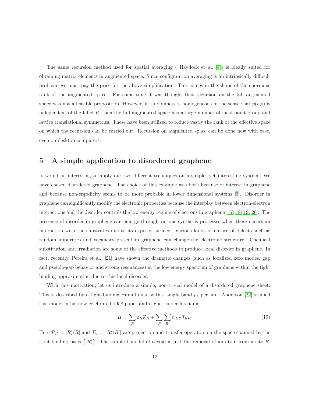The same recursion method used for spatial averaging ( Haydock et al. [\[7\]](#page-14-6)) is ideally suited for obtaining matrix elements in augmented space. Since configuration averaging is an intrinsically difficult problem, we must pay the price for the above simplification. This comes in the shape of the enormous rank of the augmented space. For some time it was thought that recursion on the full augmented space was not a feasible proposition. However, if randomness is homogeneous in the sense that  $p(n_R)$  is independent of the label R, then the full augmented space has a large number of local point group and lattice translational symmetries. These have been utilized to reduce vastly the rank of the effective space on which the recursion can be carried out. Recursion on augmented space can be done now with ease, even on desktop computers.

#### 5 A simple application to disordered graphene

It would be interesting to apply our two different techniques on a simple, yet interesting system. We have chosen disordered graphene. The choice of this example was both because of interest in graphene and because non-ergodicity seems to be more probable in lower dimensional systems [\[3\]](#page-14-2). Disorder in graphene can significantly modify the electronic properties because the interplay between electron-electron interactions and the disorder controls the low energy regime of electrons in graphene [\[17,](#page-15-5) [18,](#page-15-6) [19,](#page-15-7) [20\]](#page-15-8). The presence of disorder in graphene can emerge through various synthesis processes when there occurs an interaction with the substrates due to its exposed surface. Various kinds of nature of defects such as random impurities and vacancies present in graphene can change the electronic structure. Chemical substitution and irradiation are some of the effective methods to produce local disorder in graphene. In fact, recently, Pereira et al. [\[21\]](#page-15-9) have shown the dramatic changes (such as localized zero modes, gap and pseudo-gap behavior and strong resonances) in the low energy spectrum of graphene within the tight binding approximation due to this local disorder.

With this motivation, let us introduce a simple, non-trivial model of a disordered graphene sheet. This is described by a tight-binding Hamiltonian with a single band  $p_z$  per site. Anderson [\[22\]](#page-15-10) studied this model in his now celebrated 1958 paper and it goes under his name.

$$
H = \sum_{R} \varepsilon_{R} \mathcal{P}_{R} + \sum_{R} \sum_{R'} t_{RR'} \mathcal{T}_{RR'} \tag{19}
$$

Here  $\mathcal{P}_R = |R\rangle\langle R|$  and  $\mathcal{T}_{ij} = |R\rangle\langle R'|$  are projection and transfer operators on the space spanned by the tight-binding basis  $\{|R\rangle\}$ . The simplest model of a void is just the removal of an atom from a site R,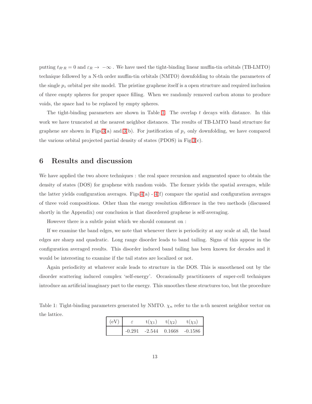putting  $t_{R'R} = 0$  and  $\varepsilon_R \to -\infty$ . We have used the tight-binding linear muffin-tin orbitals (TB-LMTO) technique followed by a N-th order muffin-tin orbitals (NMTO) downfolding to obtain the parameters of the single  $p_z$  orbital per site model. The pristine graphene itself is a open structure and required inclusion of three empty spheres for proper space filling. When we randomly removed carbon atoms to produce voids, the space had to be replaced by empty spheres.

The tight-binding parameters are shown in Table [1.](#page-12-0) The overlap t decays with distance. In this work we have truncated at the nearest neighbor distances. The results of TB-LMTO band structure for graphene are shown in Figs[.3\(](#page-19-0)a) and [3\(](#page-19-0)b). For justification of  $p<sub>z</sub>$  only downfolding, we have compared the various orbital projected partial density of states (PDOS) in Fig[.3\(](#page-19-0)c).

#### 6 Results and discussion

We have applied the two above techniques : the real space recursion and augmented space to obtain the density of states (DOS) for graphene with random voids. The former yields the spatial averages, while the latter yields configuration averages. Figs[.4\(](#page-20-0)a) -  $4(f)$  compare the spatial and configuration averages of three void compositions. Other than the energy resolution difference in the two methods (discussed shortly in the Appendix) our conclusion is that disordered graphene is self-averaging.

However there is a subtle point which we should comment on :

If we examine the band edges, we note that whenever there is periodicity at any scale at all, the band edges are sharp and quadratic. Long range disorder leads to band tailing. Signs of this appear in the configuration averaged results. This disorder induced band tailing has been known for decades and it would be interesting to examine if the tail states are localized or not.

Again periodicity at whatever scale leads to structure in the DOS. This is smoothened out by the disorder scattering induced complex 'self-energy'. Occasionally practitioners of super-cell techniques introduce an artificial imaginary part to the energy. This smoothes these structures too, but the procedure

<span id="page-12-0"></span>Table 1: Tight-binding parameters generated by NMTO.  $\chi_n$  refer to the n-th nearest neighbor vector on the lattice.

| (eV) | $t(\chi_1)$     | $t(\chi_2)$ | $t(\chi_3)$ |
|------|-----------------|-------------|-------------|
|      | $-0.291 -2.544$ | 0.1668      | $-0.1586$   |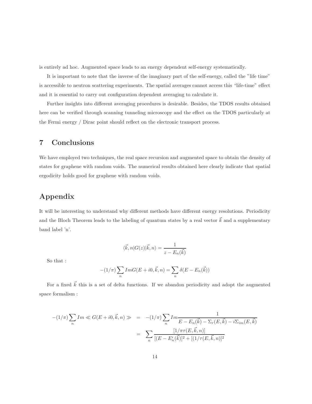is entirely ad hoc. Augmented space leads to an energy dependent self-energy systematically.

It is important to note that the inverse of the imaginary part of the self-energy, called the "life time" is accessible to neutron scattering experiments. The spatial averages cannot access this "life-time" effect and it is essential to carry out configuration dependent averaging to calculate it.

Further insights into different averaging procedures is desirable. Besides, the TDOS results obtained here can be verified through scanning tunneling microscopy and the effect on the TDOS particularly at the Fermi energy / Dirac point should reflect on the electronic transport process.

### 7 Conclusions

We have employed two techniques, the real space recursion and augmented space to obtain the density of states for graphene with random voids. The numerical results obtained here clearly indicate that spatial ergodicity holds good for graphene with random voids.

## Appendix

It will be interesting to understand why different methods have different energy resolutions. Periodicity and the Bloch Theorem leads to the labeling of quantum states by a real vector  $\vec{k}$  and a supplementary band label 'n'.

$$
\langle \vec{k}, n | G(z) | \vec{k}, n \rangle = \frac{1}{z - E_n(\vec{k})}
$$

So that :

$$
-(1/\pi)\sum_{n} Im G(E + i0, \vec{k}, n) = \sum_{n} \delta(E - E_n(\vec{k}))
$$

For a fixed  $\vec{k}$  this is a set of delta functions. If we abandon periodicity and adopt the augmented space formalism :

$$
-(1/\pi)\sum_{n} Im \ll G(E + i0, \vec{k}, n) \gg = -(1/\pi)\sum_{n} Im \frac{1}{E - E_n(\vec{k}) - \Sigma_r(E, \vec{k}) - i\Sigma_{im}(E, \vec{k})}
$$

$$
= \sum_{n} \frac{[1/\pi\tau(E, \vec{k}, n)]}{[(E - E'_n(\vec{k}))^2 + [(1/\tau(E, \vec{k}, n)]^2]}
$$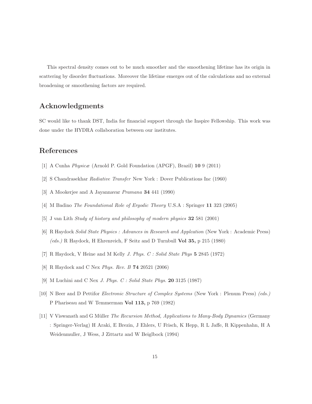This spectral density comes out to be much smoother and the smoothening lifetime has its origin in scattering by disorder fluctuations. Moreover the lifetime emerges out of the calculations and no external broadening or smoothening factors are required.

### Acknowledgments

SC would like to thank DST, India for financial support through the Inspire Fellowship. This work was done under the HYDRA collaboration between our institutes.

## <span id="page-14-0"></span>References

- <span id="page-14-1"></span>[1] A Cunha Physicæ (Arnold P. Gold Foundation (APGF), Brazil) 10 9 (2011)
- <span id="page-14-2"></span>[2] S Chandrasekhar Radiative Transfer New York : Dover Publications Inc (1960)
- <span id="page-14-3"></span>[3] A Mookerjee and A Jayannavar *Pramana* **34** 441 (1990)
- <span id="page-14-4"></span>[4] M Badino The Foundational Role of Ergodic Theory U.S.A : Springer 11 323 (2005)
- <span id="page-14-5"></span>[5] J van Lith Study of history and philosophy of modern physics 32 581 (2001)
- <span id="page-14-6"></span>[6] R Haydock Solid State Physics : Advances in Research and Applcation (New York : Academic Press) (eds.) R Haydock, H Ehrenreich, F Seitz and D Turnbull Vol 35, p 215 (1980)
- <span id="page-14-7"></span>[7] R Haydock, V Heine and M Kelly J. Phys. C : Solid State Phys 5 2845 (1972)
- <span id="page-14-8"></span>[8] R Haydock and C Nex Phys. Rev. B 74 20521 (2006)
- <span id="page-14-9"></span>[9] M Luchini and C Nex J. Phys. C : Solid State Phys. 20 3125 (1987)
- <span id="page-14-10"></span>[10] N Beer and D Pettifor Electronic Structure of Complex Systems (New York : Plenum Press) (eds.) P Phariseau and W Temmerman Vol 113, p 769 (1982)
- [11] V Viswanath and G Müller *The Recursion Method, Applications to Many-Body Dynamics* (Germany : Springer-Verlag) H Araki, E Brezin, J Ehlers, U Frisch, K Hepp, R L Jaffe, R Kippenhahn, H A Weidenmuller, J Wess, J Zittartz and W Beiglbock (1994)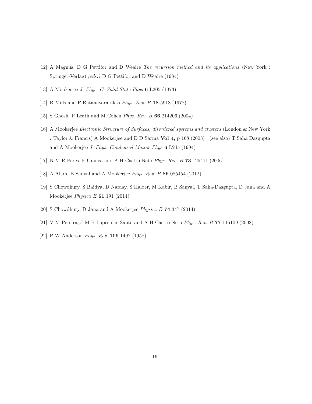- <span id="page-15-1"></span><span id="page-15-0"></span>[12] A Magnus, D G Pettifor and D Weaire The recursion method and its applications (New York : Springer-Verlag) (eds.) D G Pettifor and D Weaire (1984)
- <span id="page-15-2"></span>[13] A Mookerjee J. Phys. C: Solid State Phys 6 L205 (1973)
- <span id="page-15-3"></span>[14] R Mills and P Ratanavararaksa Phys. Rev. B 18 5918 (1978)
- <span id="page-15-4"></span>[15] S Ghosh, P Leath and M Cohen Phys. Rev. B 66 214206 (2004)
- [16] A Mookerjee Electronic Structure of Surfaces, disordered systems and clusters (London & New York : Taylor & Francis) A Mookerjee and D D Sarma Vol 4, p 168 (2003) ; (see also) T Saha Dasgupta and A Mookerjee J. Phys. Condensed Matter Phys 6 L245 (1994)
- <span id="page-15-6"></span><span id="page-15-5"></span>[17] N M R Peres, F Guinea and A H Castro Neto Phys. Rev. B 73 125411 (2006)
- <span id="page-15-7"></span>[18] A Alam, B Sanyal and A Mookerjee Phys. Rev. B 86 085454 (2012)
- <span id="page-15-8"></span>[19] S Chowdhury, S Baidya, D Nafday, S Halder, M Kabir, B Sanyal, T Saha-Dasgupta, D Jana and A Mookerjee Physica E 61 191 (2014)
- <span id="page-15-9"></span>[20] S Chowdhury, D Jana and A Mookerjee Physica E 74 347 (2014)
- <span id="page-15-10"></span>[21] V M Pereira, J M B Lopes dos Santo and A H Castro Neto Phys. Rev. B 77 115109 (2008)
- [22] P W Anderson Phys. Rev. 109 1492 (1958)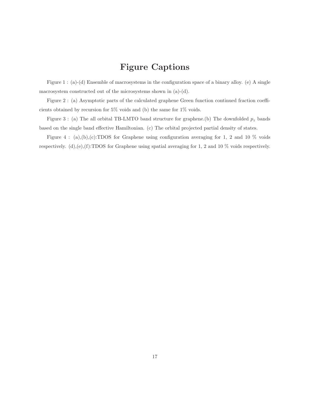# Figure Captions

Figure 1 : (a)-(d) Ensemble of macrosystems in the configuration space of a binary alloy. (e) A single macrosystem constructed out of the microsystems shown in (a)-(d).

Figure 2 : (a) Asymptotic parts of the calculated graphene Green function continued fraction coefficients obtained by recursion for 5% voids and (b) the same for 1% voids.

Figure 3 : (a) The all orbital TB-LMTO band structure for graphene.(b) The downfolded  $p_z$  bands based on the single band effective Hamiltonian. (c) The orbital projected partial density of states.

Figure 4 : (a),(b),(c):TDOS for Graphene using configuration averaging for 1, 2 and 10  $\%$  voids respectively. (d),(e),(f):TDOS for Graphene using spatial averaging for 1, 2 and 10 % voids respectively.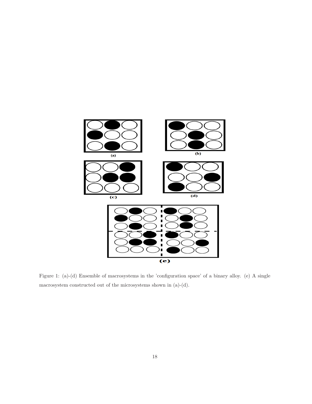

<span id="page-17-0"></span>Figure 1: (a)-(d) Ensemble of macrosystems in the 'configuration space' of a binary alloy. (e) A single macrosystem constructed out of the microsystems shown in (a)-(d).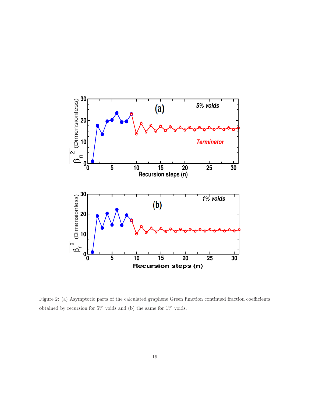

<span id="page-18-0"></span>Figure 2: (a) Asymptotic parts of the calculated graphene Green function continued fraction coefficients obtained by recursion for  $5\%$  voids and (b) the same for  $1\%$  voids.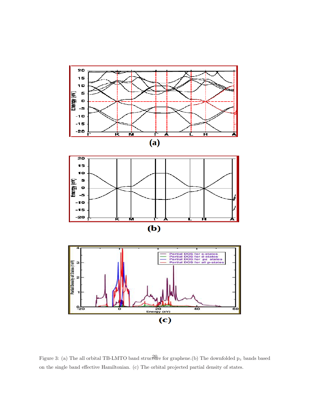

<span id="page-19-0"></span>Figure 3: (a) The all orbital TB-LMTO band structure for graphene. (b) The downfolded  $p_z$  bands based on the single band effective Hamiltonian. (c) The orbital projected partial density of states.